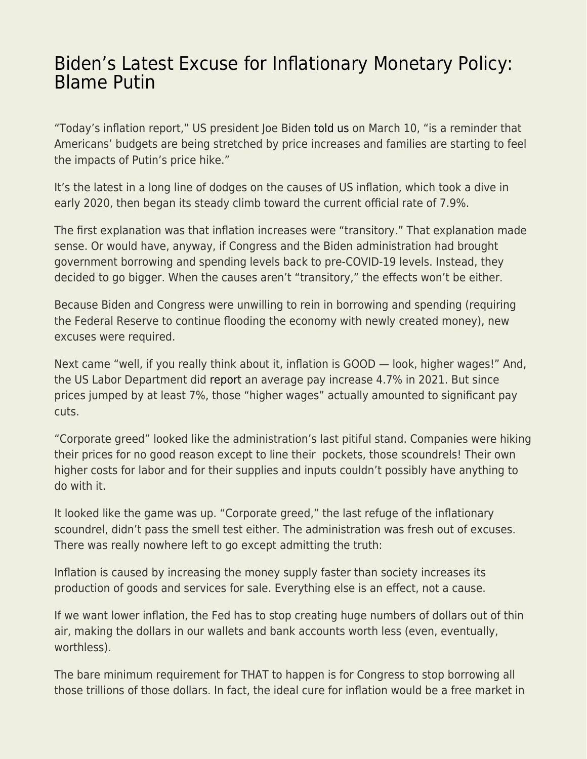## [Biden's Latest Excuse for Inflationary Monetary Policy:](https://everything-voluntary.com/bidens-latest-excuse-for-inflationary-monetary-policy-blame-putin) [Blame Putin](https://everything-voluntary.com/bidens-latest-excuse-for-inflationary-monetary-policy-blame-putin)

"Today's inflation report," US president Joe Biden [told us](https://thehill.com/homenews/administration/597675-biden-blames-putins-price-hike-for-high-inflation) on March 10, "is a reminder that Americans' budgets are being stretched by price increases and families are starting to feel the impacts of Putin's price hike."

It's the latest in a long line of dodges on the causes of US inflation, which took a dive in early 2020, then began its steady climb toward the current official rate of 7.9%.

The first explanation was that inflation increases were "transitory." That explanation made sense. Or would have, anyway, if Congress and the Biden administration had brought government borrowing and spending levels back to pre-COVID-19 levels. Instead, they decided to go bigger. When the causes aren't "transitory," the effects won't be either.

Because Biden and Congress were unwilling to rein in borrowing and spending (requiring the Federal Reserve to continue flooding the economy with newly created money), new excuses were required.

Next came "well, if you really think about it, inflation is GOOD — look, higher wages!" And, the US Labor Department did [report](https://www.cnbc.com/2022/01/12/higher-pay-eclipses-inflation-bite-for-some-.html) an average pay increase 4.7% in 2021. But since prices jumped by at least 7%, those "higher wages" actually amounted to significant pay cuts.

"Corporate greed" looked like the administration's last pitiful stand. Companies were hiking their prices for no good reason except to line their pockets, those scoundrels! Their own higher costs for labor and for their supplies and inputs couldn't possibly have anything to do with it.

It looked like the game was up. "Corporate greed," the last refuge of the inflationary scoundrel, didn't pass the smell test either. The administration was fresh out of excuses. There was really nowhere left to go except admitting the truth:

Inflation is caused by increasing the money supply faster than society increases its production of goods and services for sale. Everything else is an effect, not a cause.

If we want lower inflation, the Fed has to stop creating huge numbers of dollars out of thin air, making the dollars in our wallets and bank accounts worth less (even, eventually, worthless).

The bare minimum requirement for THAT to happen is for Congress to stop borrowing all those trillions of those dollars. In fact, the ideal cure for inflation would be a free market in